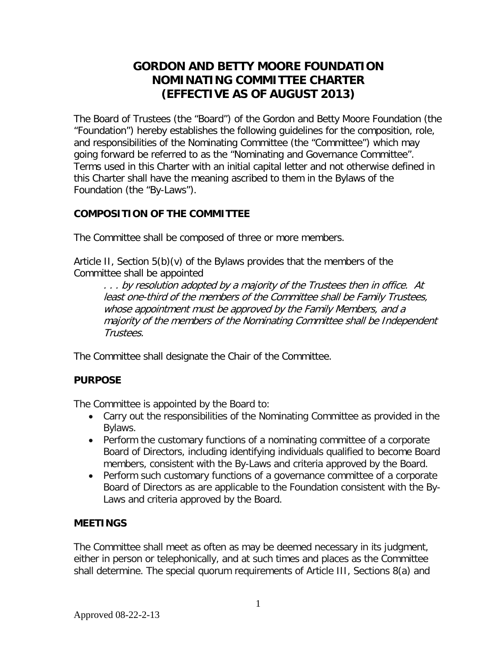# **GORDON AND BETTY MOORE FOUNDATION NOMINATING COMMITTEE CHARTER (EFFECTIVE AS OF AUGUST 2013)**

The Board of Trustees (the "Board") of the Gordon and Betty Moore Foundation (the "Foundation") hereby establishes the following guidelines for the composition, role, and responsibilities of the Nominating Committee (the "Committee") which may going forward be referred to as the "Nominating and Governance Committee". Terms used in this Charter with an initial capital letter and not otherwise defined in this Charter shall have the meaning ascribed to them in the Bylaws of the Foundation (the "By-Laws").

# **COMPOSITION OF THE COMMITTEE**

The Committee shall be composed of three or more members.

Article II, Section 5(b)(v) of the Bylaws provides that the members of the Committee shall be appointed

. . . by resolution adopted by a majority of the Trustees then in office. At least one-third of the members of the Committee shall be Family Trustees, whose appointment must be approved by the Family Members, and a majority of the members of the Nominating Committee shall be Independent Trustees.

The Committee shall designate the Chair of the Committee.

# **PURPOSE**

The Committee is appointed by the Board to:

- Carry out the responsibilities of the Nominating Committee as provided in the Bylaws.
- Perform the customary functions of a nominating committee of a corporate Board of Directors, including identifying individuals qualified to become Board members, consistent with the By-Laws and criteria approved by the Board.
- Perform such customary functions of a governance committee of a corporate Board of Directors as are applicable to the Foundation consistent with the By-Laws and criteria approved by the Board.

# **MEETINGS**

The Committee shall meet as often as may be deemed necessary in its judgment, either in person or telephonically, and at such times and places as the Committee shall determine. The special quorum requirements of Article III, Sections 8(a) and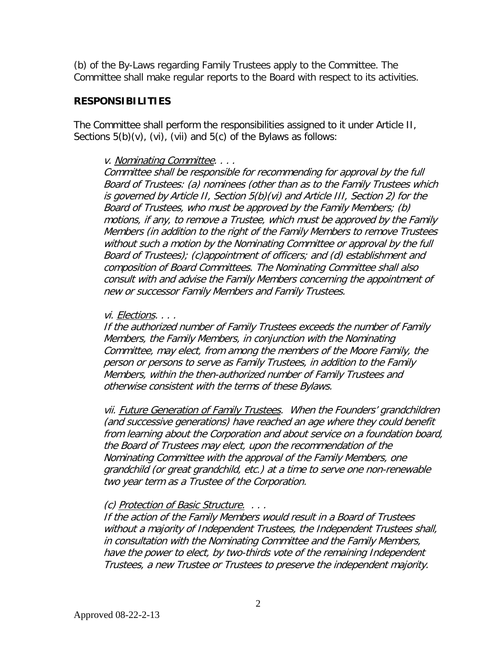(b) of the By-Laws regarding Family Trustees apply to the Committee. The Committee shall make regular reports to the Board with respect to its activities.

## **RESPONSIBILITIES**

The Committee shall perform the responsibilities assigned to it under Article II, Sections 5(b)(v), (vi), (vii) and 5(c) of the Bylaws as follows:

### v. Nominating Committee. . . .

Committee shall be responsible for recommending for approval by the full Board of Trustees: (a) nominees (other than as to the Family Trustees which is governed by Article II, Section 5(b)(vi) and Article III, Section 2) for the Board of Trustees, who must be approved by the Family Members; (b) motions, if any, to remove a Trustee, which must be approved by the Family Members (in addition to the right of the Family Members to remove Trustees without such a motion by the Nominating Committee or approval by the full Board of Trustees); (c)appointment of officers; and (d) establishment and composition of Board Committees. The Nominating Committee shall also consult with and advise the Family Members concerning the appointment of new or successor Family Members and Family Trustees.

### vi. Elections. . . .

If the authorized number of Family Trustees exceeds the number of Family Members, the Family Members, in conjunction with the Nominating Committee, may elect, from among the members of the Moore Family, the person or persons to serve as Family Trustees, in addition to the Family Members, within the then-authorized number of Family Trustees and otherwise consistent with the terms of these Bylaws.

vii. Future Generation of Family Trustees. When the Founders' grandchildren (and successive generations) have reached an age where they could benefit from learning about the Corporation and about service on a foundation board, the Board of Trustees may elect, upon the recommendation of the Nominating Committee with the approval of the Family Members, one grandchild (or great grandchild, etc.) at a time to serve one non-renewable two year term as a Trustee of the Corporation.

## (c) Protection of Basic Structure. . . .

If the action of the Family Members would result in a Board of Trustees without a majority of Independent Trustees, the Independent Trustees shall, in consultation with the Nominating Committee and the Family Members, have the power to elect, by two-thirds vote of the remaining Independent Trustees, a new Trustee or Trustees to preserve the independent majority.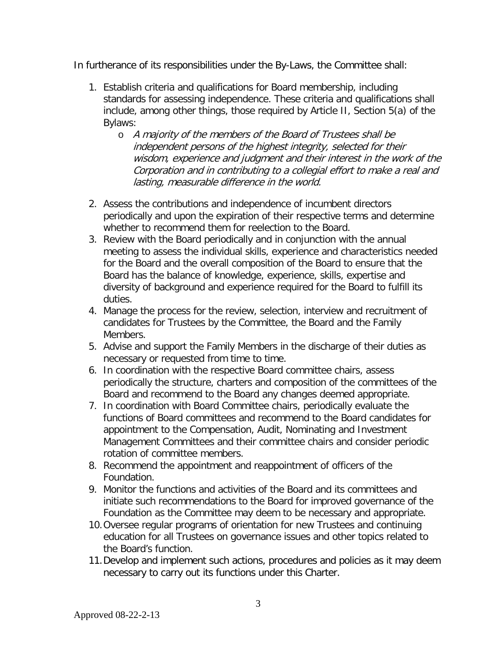In furtherance of its responsibilities under the By-Laws, the Committee shall:

- 1. Establish criteria and qualifications for Board membership, including standards for assessing independence. These criteria and qualifications shall include, among other things, those required by Article II, Section 5(a) of the Bylaws:
	- o A majority of the members of the Board of Trustees shall be independent persons of the highest integrity, selected for their wisdom, experience and judgment and their interest in the work of the Corporation and in contributing to a collegial effort to make a real and lasting, measurable difference in the world.
- 2. Assess the contributions and independence of incumbent directors periodically and upon the expiration of their respective terms and determine whether to recommend them for reelection to the Board.
- 3. Review with the Board periodically and in conjunction with the annual meeting to assess the individual skills, experience and characteristics needed for the Board and the overall composition of the Board to ensure that the Board has the balance of knowledge, experience, skills, expertise and diversity of background and experience required for the Board to fulfill its duties.
- 4. Manage the process for the review, selection, interview and recruitment of candidates for Trustees by the Committee, the Board and the Family Members.
- 5. Advise and support the Family Members in the discharge of their duties as necessary or requested from time to time.
- 6. In coordination with the respective Board committee chairs, assess periodically the structure, charters and composition of the committees of the Board and recommend to the Board any changes deemed appropriate.
- 7. In coordination with Board Committee chairs, periodically evaluate the functions of Board committees and recommend to the Board candidates for appointment to the Compensation, Audit, Nominating and Investment Management Committees and their committee chairs and consider periodic rotation of committee members.
- 8. Recommend the appointment and reappointment of officers of the Foundation.
- 9. Monitor the functions and activities of the Board and its committees and initiate such recommendations to the Board for improved governance of the Foundation as the Committee may deem to be necessary and appropriate.
- 10.Oversee regular programs of orientation for new Trustees and continuing education for all Trustees on governance issues and other topics related to the Board's function.
- 11.Develop and implement such actions, procedures and policies as it may deem necessary to carry out its functions under this Charter.